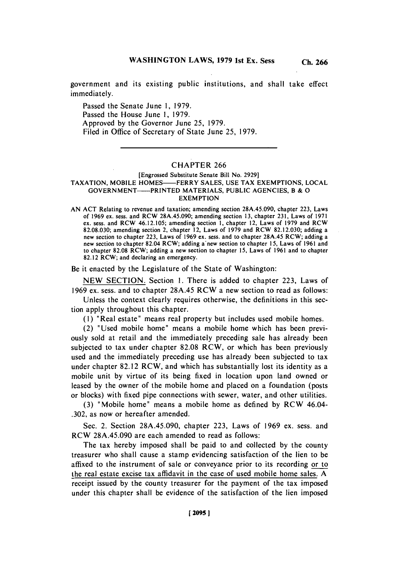government and its existing public institutions, and shall take effect immediately.

Passed the Senate June **1, 1979.** Passed the House June **1, 1979.** Approved **by** the Governor June **25, 1979.** Filed in Office of Secretary of State June **25, 1979.**

# CHAPTER **266**

## [Engrossed Substitute Senate Bill No. **2929] TAXATION,** MOBILE HOMES-FERRY **SALES, USE** TAX **EXEMPTIONS, LOCAL** GOVERN MENT-PRINTED MATERIALS, **PUBLIC AGENCIES,** B **& 0 EXEMPTION**

**AN ACT** Relating to revenue and taxation; amending section **28A.45.090,** chapter **223,** Laws of **1969** ex. sess. and RCW **28A.45.090;** amending section **13,** chapter **231,** Laws of **1971** ex. sess. and RCW 46.12.105; amending section **1,** chapter 12, Laws of **1979** and RCW **82.08.030;** amending section 2, chapter 12, Laws of **1979** and RCW **82.12.030;** adding a new section to chapter **223,** Laws of **1969** ex. sess. and to chapter **28A.45** RCW; adding a new section to chapter 82.04 RCW; adding a new section to chapter **15,** Laws of **1961** and to chapter **82.08** RCW; adding a new section to chapter **15,** Laws of **1961** and to chapter **82.12** RCW; and declaring an emergency.

Be it enacted **by** the Legislature of the State of Washington:

**NEW SECTION.** Section **1.** There is added to chapter **223,** Laws of **1969** ex. sess. and to chapter **28A.45** RCW a new section to read as follows:

Unless the context clearly requires otherwise, the definitions in this section apply throughout this chapter.

**(1)** "Real estate" means real property but includes used mobile homes.

(2) "Used mobile home" means a mobile home which has been previously sold at retail and the immediately preceding sale has already been subjected to tax under chapter **82.08** RCW, or which has been previously used and the immediately preceding use has already been subjected to tax under chapter 82.12 RCW, and which has substantially lost its identity as a mobile unit **by** virtue of its being fixed in location upon land owned or leased **by** the owner of the mobile home and placed on a foundation (posts or blocks) with fixed pipe connections with sewer, water, and other utilities.

**(3)** "M~obile home" means a mobile home as defined **by** RCW 46.04- **.302,** as now or hereafter amended.

Sec. 2. Section **28A.45.090,** chapter **223,** Laws of **1969** ex. sess. and RCW **28A.45.090** are each amended to read as follows:

The tax hereby imposed shall be paid to and collected **by** the county treasurer who shall cause a stamp evidencing satisfaction of the lien to be affixed to the instrument of sale or conveyance prior to its recording or to the real estate excise tax affidavit in the case of used mobile home sales. **A** receipt issued **by** the county treasurer for the payment of the tax imposed under this chapter shall be evidence of the satisfaction of the lien imposed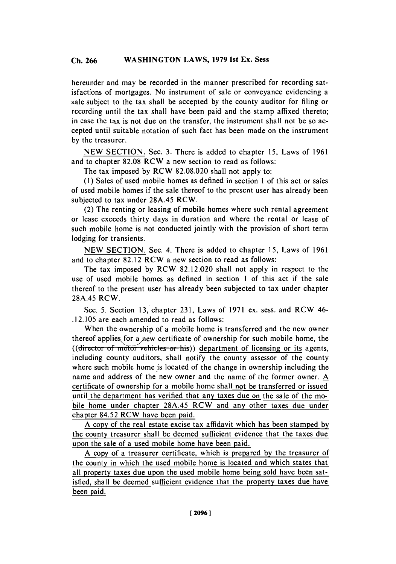hereunder and may be recorded in the manner prescribed for recording satisfactions of mortgages. No instrument of sale or conveyance evidencing a sale subject to the tax shall be accepted **by** the county auditor for filing or recording until the tax shall have been paid and the stamp affixed thereto; in case the tax is not due on the transfer, the instrument shall not be so accepted until suitable notation of such fact has been made on the instrument **by** the treasurer.

**NEW SECTION.** Sec. **3.** There is added to chapter **15,** Laws of **1961** and to chapter **82.08** RCW a new section to read as follows:

The tax imposed **by** RCW **82.08.020** shall not apply to:

**(I)** Sales of used mobile homes as defined in section 1 of this act or sales of used mobile homes if the sale thereof to the present user has already been subjected to tax under **28A.45** RCW.

(2) The renting or leasing of mobile homes where such rental agreement or lease exceeds thirty days in duration and where the rental or lease of such mobile home is not conducted jointly with the provision of short term lodging for transients.

**NEW SECTION.** Sec. 4. There is added to chapter **15,** Laws of **1961** and to chapter **82.12** RCW a new section to read as follows:

The tax imposed **by** RCW **82.12.020** shall not apply in respect to the use of used mobile homes as defined in section 1 of this act if the sale thereof to the present user has already been subjected to tax under chapter **28A.45** RCW.

Sec. **5.** Section **13,** chapter **231,** Laws of **1971** ex. sess. and RCW 46- **.12.105** are each amended to read as follows:

When the ownership of a mobile home is transferred and the new owner thereof applies for a new certificate of ownership for such mobile home, the ((director of motor vehicles or his)) department of licensing or its agents, including county auditors, shall notify the county assessor of the county where such mobile home is located of the change in ownership including the name and address of the new owner and the name of the former owner. **A** certificate of ownership for a mobile home shall not be transferred or issued until the department has verified that any taxes due on the sale of the mobile home under chapter **28A.45 RCW** and any other taxes due under chapter 84.52 **RCW** have been paid.

**A** copy of the real estate excise tax affidavit which has been stamped **by** the county treasurer shall be deemed sufficient evidence that the taxes due upon the sale of a used mobile home have been paid.

**A** copy of a treasurer certificate, which is prepared **by** the treasurer of the county in which the used mobile home is located and which states that all property taxes due upon the used mobile home being sold have been satisfied, shall be deemed sufficient evidence that the property taxes due have been paid.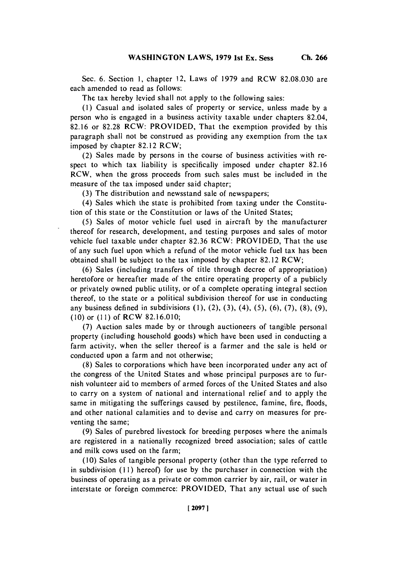Sec. **6.** Section **1,** chapter 12, Laws of **1979** and RCW **82.08.030** are each amended to read as follows:

The tax hereby levied shall not apply to the following sales:

**(I )** Casual and isolated sales of property or service, unless made **by** a person who is engaged in a business activity taxable under chapters 82.04, **82.16** or **82.28** RCW: PROVIDED, That the exemption provided **by** this paragraph shall not be construed as providing any exemption from the tax imposed **by** chapter **82.12 RCW;**

(2) Sales made **by** persons in the course of business activities with respect to which tax liability is specifically imposed under chapter **82.16** RCW, when the gross proceeds from such sales must be included in the measure of the tax imposed under said chapter;

**(3)** The distribution and newsstand sale of newspapers;

(4) Sales which the state is prohibited from taxing under the Constitution of this state or the Constitution or laws of the United States;

**(5)** Sales of motor vehicle fuel used in aircraft **by** the manufacturer thereof for research, development, and testing purposes and sales of motor vehicle fuel taxable under chapter **82.36** RCW: PROVIDED, That the use of any such fuel upon which a refund of the motor vehicle fuel tax has been obtained shall be subject to the tax imposed **by** chapter **82.12** RCW;

**(6)** Sales (including transfers of title through decree of appropriation) heretofore or hereafter made of the entire operating property of a publicly or privately owned public utility, or of a complete operating integral section thereof, to the state or a political subdivision thereof for use in conducting any business defined in subdivisions **(1),** (2), **(3),** (4), **(5), (6), (7), (8), (9), (10)** or **(11)** of RCW **82.16.010;**

**(7)** Auction sales made **by** or through auctioneers of tangible personal property (including household goods) which have been used in conducting a farm activity, when the seller thereof is a farmer and the sale is held or conducted upon a farm and not otherwise;

**(8)** Sales to corporations which have been incorporated under any act of the congress of the United States and whose principal purposes are to furnish volunteer aid to members of armed forces of the United States and also to carry on a system of national and international relief and to apply the same in mitigating the sufferings caused **by** pestilence, famine, fire, floods, and other national calamities and to devise and carry on measures for preventing the same;

**(9)** Sales of purebred livestock for breeding purposes where the animals are registered in a nationally recognized breed association; sales of cattle and milk cows used on the farm;

**(10)** Sales of tangible personal property (other than the type referred to in subdivision **(I I)** hereof) for use **by** the purchaser in connection with the business of operating as a private or common carrier **by** air, rail, or water in interstate or foreign commerce: PROVIDED, That any actual use of such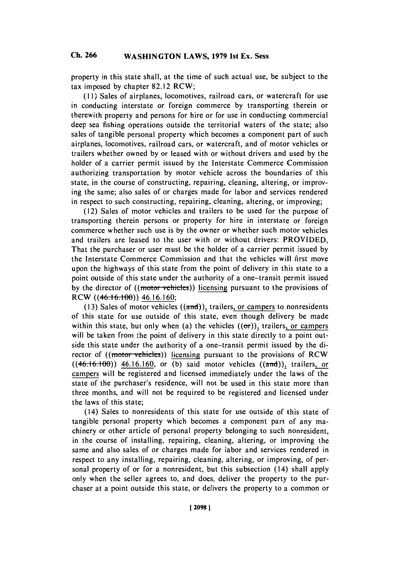property in this state shall, at the time of such actual use, be subject to the tax imposed **by** chapter **82.12** RCW;

**(I I)** Sales of airplanes, locomotives, railroad cars, or watercraft for use in conducting interstate or foreign commerce **by** transporting therein or therewith property and persons for hire or for use in conducting commercial deep sea fishing operations outside the territorial waters of the state; also sales of tangible personal property which becomes a component part of such airplanes, locomotives, railroad cars, or watercraft, and of motor vehicles or trailers whether owned **by** or leased with or without drivers and used **by** the holder of a carrier permit issued **by** the Interstate Commerce Commission authorizing transportation **by** motor vehicle across the boundaries of this state, in the course of constructing, repairing, cleaning, altering, or improving the same; also sales of or charges made for labor and services rendered in respect to such constructing, repairing, cleaning, altering, or improving;

(12) Sales of motor vehicles and trailers to be used for the purpose of transporting therein persons or property for hire in interstate or foreign commerce whether such use is **by** the owner or whether such motor vehicles and trailers are leased to the user with or without drivers: PROVIDED, That the purchaser or user must be the holder of a carrier permit issued **by** the Interstate Commerce Commission and that the vehicles will first move upon the highways of this state from the point of delivery in this state to a point outside of this state under the authority of a one-transit permit issued by the director of ((motor vehicles)) licensing pursuant to the provisions of RCW ((46.16.100)) 46.16.160;

(13) Sales of motor vehicles ((and)), trailers, or campers to nonresidents of this state for use outside of this state, even though delivery be made within this state, but only when (a) the vehicles  $((\sigma\tau))$ , trailers, or campers will be taken from the point of delivery in this state directly to a point outside this state under the authority of a one-transit permit issued **by** the director of ((motor vehicles)) licensing pursuant to the provisions of RCW ((46.16.100)) 46.16.160, or (b) said motor vehicles ((and)), trailers, or campers will be registered and licensed immediately under the laws of the state of the purchaser's residence, will not be used in this state more than three months, and will not be required to be registered and licensed under the laws of this state;

(14) Sales to nonresidents of this state for use outside of this state of tangible personal property which becomes a component part of any machinery or other article of personal property belonging to such nonresident, in the course of installing, repairing, cleaning, altering, or improving the same and also sales of or charges made for labor and services rendered in respect to any installing, repairing, cleaning, altering, or improving, of personal property of or for a nonresident, but this subsection (14) shall apply only when the seller agrees to. and does, deliver the property to the purchaser at a point outside this state, or delivers the property to a common or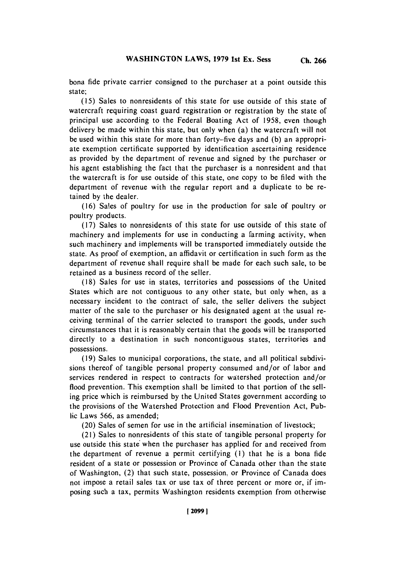**Ch. 266**

bona fide private carrier consigned to the purchaser at a point outside this state;

**(15)** Sales to nonresidents of this state for use outside of this state of watercraft requiring coast guard registration or registration **by** the state of principal use according to the Federal Boating Act of **1958,** even though delivery be made within this state, but only when (a) the watercraft will not be used within this state for more than forty-five days and **(b)** an appropriate exemption certificate supported **by** identification ascertaining residence as provided **by** the department of revenue and signed **by** the purchaser or his agent establishing the fact that the purchaser is a nonresident and that the watercraft is for use outside of this state, one copy to be filed with the department of revenue with the regular report and a duplicate to be retained **by** the dealer.

**(16)** Sales of poultry for use in the production for sale of poultry or poultry products.

**(17)** Sales to nonresidents of this state for use outside of this state of machinery and implements for use in conducting a farming activity, when such machinery and implements will be transported immediately outside the state. As proof of exemption, an affidavit or certification in such form as the department of revenue shall require shall be made for each such sale, to be retained as a business record of the seller.

**(18)** Sales for use in states, territories and possessions of the United States which are not contiguous to any other state, but only when, as a necessary incident to the contract of sale, the seller delivers the subject matter of the sale to the purchaser or his designated agent at the usual receiving terminal of the carrier selected to transport the goods, under such circumstances that it is reasonably certain that the goods will be transported directly to a destination in such noncontiguous states, territories and possessions.

**(19)** Sales to municipal corporations, the state, and all political subdivisions thereof of tangible personal property consumed and/or of labor and services rendered in respect to contracts for watershed protection and/or flood prevention. This exemption shall be limited to that portion of the selling price which is reimbursed **by** the United States government according to the provisions of the Watershed Protection and Flood Prevention Act, Public Laws **566,** as amended;

(20) Sales of semen for use in the artificial insemination of livestock;

(21) Sales to nonresidents of this state of tangible personal property for use outside this state when the purchaser has applied for and received from the department of revenue a permit certifying **(1)** that he is a bona fide resident of a state or possession or Province of Canada other than the state of Washington, (2) that such state, possession, or Province of Canada does not impose a retail sales tax or use tax of three percent or more or, if imposing such a tax, permits Washington residents exemption from otherwise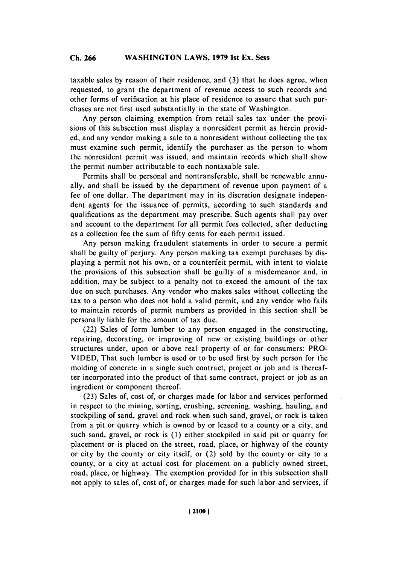taxable sales **by** reason of their residence, and **(3)** that he does agree, when requested, to grant the department of revenue access to such records and other forms of verification at his place of residence to assure that such purchases are not first used substantially in the state of Washington.

Any person claiming exemption from retail sales tax under the provisions of this subsection must display a nonresident permit as herein provided, and any vendor making a sale to a nonresident without collecting the tax must examine such permit, identify the purchaser as the person to whom the nonresident permit was issued, and maintain records which shall show the permit number attributable to each nontaxable sale.

Permits shall be personal and nontransferable, shall be renewable annually, and shall be issued **by** the department of revenue upon payment of a fee of one dollar. The department may in its discretion designate independent agents for the issuance of permits, according to such standards and qualifications as the department may prescribe. Such agents shall pay over and account to the department for all permit fees collected, after deducting as a collection fee the sum of **fifty** cents for each permit issued.

Any person making fraudulent statements in order to secure a permit shall be guilty of perjury. Any person making tax exempt purchases **by** displaying a permit not his own, or a counterfeit permit, with intent to violate the provisions of this subsection shall be guilty of a misdemeanor and, in addition, may be subject to a penalty not to exceed the amount of the tax due on such purchases. Any vendor who makes sales without collecting the tax to a person who does not hold a valid permit, and any vendor who fails to maintain records of permit numbers as provided in this section shall be personally liable for the amount of tax due.

(22) Sales of form lumber to any person engaged in the constructing, repairing, decorating, or improving of new or existing buildings or other structures under, upon or above real property of or for consumers: PRO-**VIDED,** That such lumber is used or to be used first **by** such person for the molding of concrete in a single such contract, project or **job** and is thereafter incorporated into the product of that same contract, project or **job** as an ingredient or component thereof.

**(23)** Sales of, cost of, or charges made for labor and services performed in respect to the mining, sorting, crushing, screening, washing, hauling, and stockpiling of sand, gravel and rock when such sand, gravel, or rock is taken from a pit or quarry which is owned **by** or leased to a county or a city, and such sand, gravel, or rock is **(I)** either stockpiled in said pit or quarry for placement or is placed on the street, road, place, or highway of the county or city **by** the county or city itself, or (2) sold **by** the county or city to a county, or a city at actual cost for placement on a publicly owned street, road, place, or highway. The exemption provided for in this subsection shall not apply to sales of, cost of, or charges made for such labor and services, if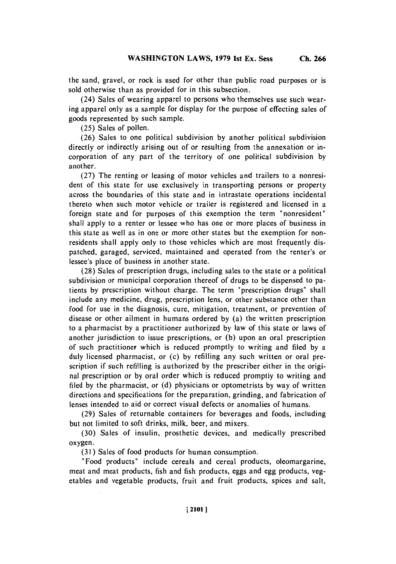(24) Sales of wearing apparel to persons who themselves use such wearing apparel only as a sample for display for the purpose of effecting sales of goods represented **by** such sample.

**(25)** Sales of pollen.

**(26)** Sales to one political subdivision **by** another political subdivision directly or indirectly arising out of or resulting from the annexation or incorporation of any part of the territory of one political subdivision **by** another.

**(27)** The renting or leasing of motor vehicles and trailers to a nonresident of this state for use exclusively in transporting persons or property across the boundaries of this state and in intrastate operations incidental thereto when such motor vehicle or trailer is registered and licensed in a foreign state and for purposes of this exemption the term "nonresident" shall apply to a renter or lessee who has one or more places of business in this state as well as in one or more other states but the exemption for nonresidents shall apply only to those vehicles which are most frequently dispatched, garaged, serviced, maintained and operated from the renter's or lessee's place of business in another state.

**(28)** Sales of prescription drugs, including sales to the state or a political subdivision or municipal corporation thereof of drugs to be dispensed to patients **by** prescription without charge. The term "prescription drugs" shall include any medicine, drug, prescription lens, or other substance other than food for use in the diagnosis, cure, mitigation, treatment, or prevention of disease or other ailment in humans ordered **by** (a) the written prescription to a pharmacist **by** a practitioner authorized **by** law of this state or laws of another jurisdiction to issue prescriptions, or **(b)** upon an oral prescription of such practitioner, which is reduced promptly to writing and filed **by** a duly licensed pharmacist, or (c) **by** refilling any such written or oral prescription if such refilling is authorized **by** the prescriber either in the original prescription or **by** oral order which is reduced promptly to writing and filed **by** the pharmacist, or **(d)** physicians or optometrists **by** way of written directions and specifications for the preparation, grinding, and fabrication of lenses intended to aid or correct visual defects or anomalies of humans.

**(29)** Sales of returnable containers for beverages and foods, including but not limited to soft drinks, milk, beer, and mixers.

**(30)** Sales of insulin, prosthetic devices, and medically prescribed oxygen.

**(31 )** Sales of food products for human consumption.

"Food products" include cereals and cereal products, oleomargarine, meat and meat products, fish and fish products, eggs and egg products, vegetables and vegetable products, fruit and fruit products, spices and salt,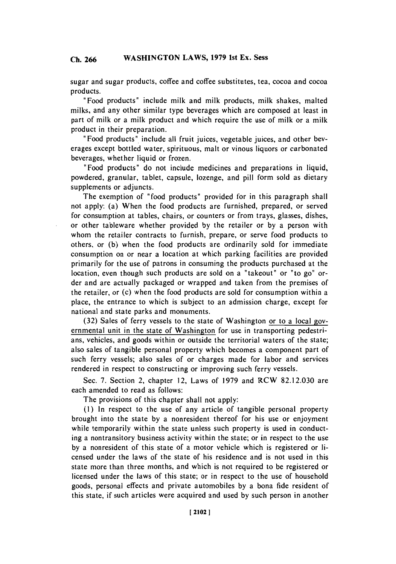sugar and sugar products, coffee and coffee substitutes, tea, cocoa and cocoa products.

"Food products" include milk and milk products, milk shakes, malted milks, and any other similar type beverages which are composed at least in part of milk or a milk product and which require the use of milk or a milk product in their preparation.

" Food products" include all fruit juices, vegetable juices, and other beverages except bottled water, spirituous, malt or vinous liquors or carbonated beverages, whether liquid or frozen.

"Food products" do not include medicines and preparations in liquid, powdered, granular, tablet, capsule, lozenge, and pill form sold as dietary supplements or adjuncts.

The exemption of "food products" provided for in this paragraph shall not apply: (a) When the food products are furnished, prepared, or served for consumption at tables, chairs, or counters or from trays, glasses, dishes, or other tableware whether provided **by** the retailer or **by** a person with whom the retailer contracts to furnish, prepare, or serve food products to others, or **(b)** when the food products are ordinarily sold for immediate consumption on or near a location at which parking facilities are provided primarily for the use of patrons in consuming the products purchased at the location, even though such products are sold on a "takeout" or "to go" order and are actually packaged or wrapped and taken from the premises of the retailer, or (c) when the food products are sold for consumption within a place, the entrance to which is subject to an admission charge, except for national and state parks and monuments.

**(32)** Sales of ferry vessels to the state of Washington or to a local governmental unit in the state of Washington for use in transporting pedestrians, vehicles, and goods within or outside the territorial waters of the state; also sales of tangible personal property which becomes a component part of such ferry vessels; also sales of or charges made for labor and services rendered in respect to constructing or improving such ferry vessels.

Sec. **7.** Section 2, chapter 12, Laws of **1979** and RCW **82.12.030** are each amended to read as follows:

The provisions of this chapter shall not apply:

**(1)** In respect to the use of any article of tangible personal property brought into the state **by** a nonresident thereof for his use or enjoyment while temporarily within the state unless such property is used in conducting a nontransitory business activity within the state; or in respect to the use **by** a nonresident of this state of a motor vehicle which is registered or licensed under the laws of the state of his residence and is not used in this state more than three months, and which is not required to be registered or licensed under the laws of this state; or in respect to the use of household goods, personal effects and private automobiles **by** a bona fide resident of this state, if such articles were acquired and used **by** such person in another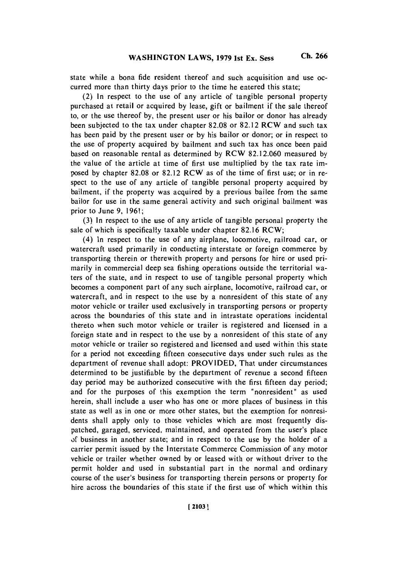state **while a** bona fide resident thereof and such acquisition and use occurred more than thirty days prior to the time he entered this state;

(2) In respect to the use of any article of tangible personal property purchased at retail or acquired **by** lease, gift or bailment if the sale thereof to, or the use thereof **by,** the present user or his bailor or donor has already been subjected to the tax under chapter **82.08** or **82.12** RCW and such tax has been paid **by** the present user or **by** his bailor or donor; or in respect to the use of property acquired **by** bailment and such tax has once been paid based on reasonable rental as determined **by** RCW **82.12.060** measured **by** the value of the article at time of first use multiplied **by** the tax rate imposed **by** chapter **82.08** or **82.12** RCW as of the time of first use; or in respect to the use of any article of tangible personal property acquired **by** bailment, if the property was acquired **by** a previous bailee from the same bailor for use in the same general activity and such original bailment was prior to June **9, 1961;**

**(3)** In respect to the use of any article of tangible personal property the sale of which is specifically taxable under chapter **82.16** RCW;

(4) In respect to the use of any airplane, locomotive, railroad car, or watercraft used primarily in conducting interstate or foreign commerce **by** transporting therein or therewith property and persons for hire or used primarily in commercial deep sea fishing operations outside the territorial waters of the state, and in respect to use of tangible personal property which becomes a component part of any such airplane, locomotive, railroad car, or watercraft, and in respect to the use **by** a nonresident of this state of any motor vehicle or trailer used exclusively in transporting persons or property across the boundaries of this state and in intrastate operations incidental thereto when such motor vehicle or trailer is registered and licensed in a foreign state and in respect to the use **by** a nonresident of this state of any motor vehicle or trailer so registered and licensed and used within this state for a period not exceeding fifteen consecutive days under such rules as the department of revenue shall adopt: PROVIDED, That under circumstances determined to be justifiable **by** the department of revenue a second fifteen day period may be authorized consecutive with the first fifteen day period; and for the purposes of this exemption the term "nonresident" as used herein, shall include a user who has one or more places of business in this state as well as in one or more other states, but the exemption for nonresidents shall apply only to those vehicles which are most frequently dispatched, garaged, serviced, maintained, and operated from the user's place of business in another state; and in respect to the use **by** the holder of a carrier permit issued **by** the Interstate Commerce Commission of any motor vehicle or trailer whether owned **by** or leased with or without driver to the permit holder and used in substantial part in the normal and ordinary course of the user's business for transporting therein persons or property for hire across the boundaries of this state if the first use of which within this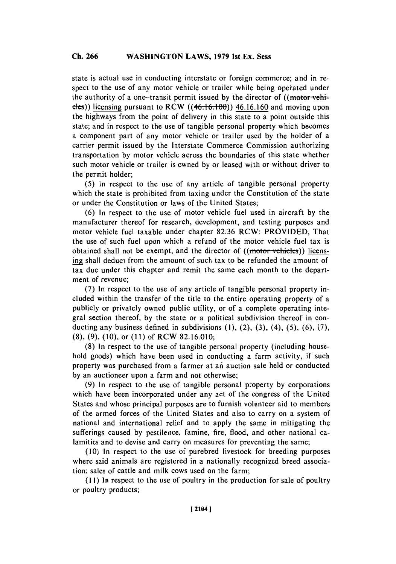state is actual use in conducting interstate or foreign commerce; and in respect to the use of any motor vehicle or trailer while being operated under the authority of a one-transit permit issued by the director of ((motor vehicles)) licensing pursuant to RCW ((46.16.100)) 46.16.160 and moving upon the highways from the point of delivery in this state to a point outside this state; and in respect to the use of tangible personal property which becomes a component part of any motor vehicle or trailer used **by** the holder of a carrier permit issued **by** the Interstate Commerce Commission authorizing transportation **by** motor vehicle across the boundaries of' this state whether such motor vehicle or trailer is owned **by** or leased with or without driver to the permit holder;

**(5)** In respect to the use of any article of tangible personal property which the state is prohibited from taxing under the Constitution of the state or under the Constitution or laws of the United States;

**(6)** In respect to the use of motor vehicle fuel used in aircraft **by** the manufacturer thereof for research, development, and testing purposes and motor vehicle fuel taxable under chapter **82.36** RCW: PROVIDED, That the use of such fuel upon which a refund of the motor vehicle fuel tax is obtained shall not be exempt, and the director of **((motor vehicles)**) licensing shall deduct from the amount of such tax to be refunded the amount of tax due under this chapter and remit the same each month to the department of revenue;

**(7)** In respect to the use of any article of tangible personal property included within the transfer of the title to the entire operating property of a publicly or privately owned public utility, or of a complete operating integral section thereof, **by** the state or a political subdivision thereof in conducting any business defined in subdivisions **(1),** (2), **(3),** (4), **(5), (6), (7), (8), (9), (10),** or **(11)** of RCW **82.16.010;**

**(8)** In respect to the use of tangible personal property (including household goods) which have been used in conducting a farm activity, if such property was purchased from a farmer at an- auction sale held or conducted **by** an auctioneer upon a farm and not otherwise;

**(9)** In respect to the use of tangible personal property **by** corporations which have been incorporated under any act of the congress of the United States and whose principal purposes are to furnish volunteer aid to members of the armed forces of the United States and also to carry on a system of national and international relief and to apply the same in mitigating the sufferings caused **by** pestilence, famine, fire, flood, and other national calamities and to devise and carry on measures for preventing the same;

**(10)** In respect to the use of purebred livestock for breeding purposes where said animals are registered in a nationally recognized breed association; sales of cattle and milk cows used on the farm;

**(11)** In respect to the use of poultry in the production for sale of poultry or poultry products;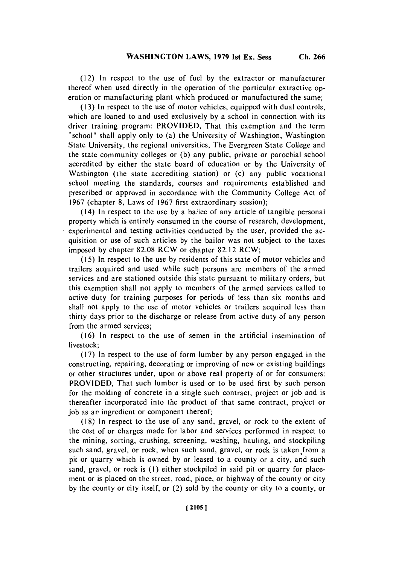(12) **In** respect to the use of fuel **by** the extractor or manufacturer thereof when used directly in the operation of the particular extractive operation or manufacturing plant which produced or manufactured the same;

**( 13)** In respect to the use of motor vehicles, equipped with dual controls, which are loaned to and used exclusively **by** a school in connection with its driver training program: PROVIDED, That this exemption and the term "school' shall apply only to (a) the University of Washington, Washington State University, the regional universities, The Evergreen State College and the state community colleges or **(b)** any public, private or parochial school accredited **by** either the state board of education or **by** the University of Washington (the state accrediting station) or (c) any public vocational school meeting the standards, courses and requirements established and prescribed or approved in accordance with the Community College Act of **1967** (chapter **8,** Laws of **1967** first extraordinary session);

(14) In respect to the use **by** a bailee of any article of tangible personal property which is entirely consumed in the course of research, development, experimental and testing activities conducted **by** the user, provided the acquisition or use of such articles **by** the bailor was not subject to the taxes imposed **by** chapter **82.08** RCW or chapter **82.12** RCW;

**( 15)** In respect to the use **by** residents of this state of motor vehicles and trailers acquired and used while such persons are members of the armed services and are stationed outside this state pursuant to military orders, but this exemption shall not apply to members of the armed services called to active duty for training purposes for periods of less than six months and shall not apply to the use of motor vehicles or trailers acquired less than thirty days prior to the discharge or release from active duty of any person from the armed services;

**(16)** In respect to the use of semen in the artificial insemination of livestock;

**(17)** In respect to the use of form lumber **by** any person engaged in the constructing, repairing, decorating or improving of new or existing buildings or other structures under, upon or above real property of or for consumers: PROVIDED, That such lumber is used or to be used first **by** such person for the molding of concrete in a single such contract, project or **job** and is thereafter incorporated into the product of that same contract, project or **job** as an ingredient or component thereof;

**(18)** In respect to the use of any sand, gravel, or rock to the extent of the cost of or charges made for labor and services performed in respect to the mining, sorting, crushing, screening, washing, hauling, and stockpiling such sand, gravel, or rock, when such sand, gravel, or rock is taken from a pit or quarry which is owned **by** or leased to a county or a city, and such sand, gravel, or rock is **(1)** either stockpiled in said pit or quarry for placement or is placed on the street, road, place, or highway of the county or city **by** the county or city itself, or (2) sold **by** the county or city to a county, or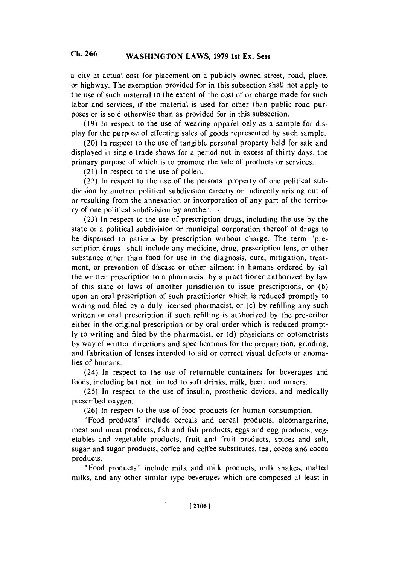a city at actual cost for placement on a publicly owned street, road, place, or highway. The exemption provided for in this subsection shall not apply to the use of such material to the extent of the cost of or charge made for such labor and services, if the material is used for other than public road purposes or is sold otherwise than as provided for in this subsection.

**(19)** In respect to the use of wearing apparel only as a sample for display for the purpose of effecting sales of goods represented **by** such sample.

(20) In respect to the use of tangible personal property held for sale and displayed in single trade shows for a period not in excess of thirty days, the primary purpose of which is to promote the sale of products or services.

(21 **)** In respect to the use of pollen.

(22) In respect to the use of the personal property of one political subdivision **by** another political subdivision directly or indirectly arising out of or resulting from the annexation or incorporation of any part of the territory of one political subdivision **by** another.

**(23)** In respect to the use of prescription drugs, including the use **by** the state or a political subdivision or municipal corporation thereof of drugs to be dispensed to patients **by** prescription without charge. The term "prescription drugs' shall include any medicine, drug, prescription lens, or other substance other than food for use in the diagnosis, cure, mitigation, treatment, or prevention of disease or other ailment in humans ordered **by** (a) the written prescription to a pharmacist **by** a practitioner authorized **by** law of this state or laws of another jurisdiction to issue prescriptions, or **(b)** upon an oral prescription of such practitioner which is reduced promptly to writing and filed **by** a duly licensed pharmacist, or (c) **by** refilling any such written or oral prescription if such refilling is authorized **by** the prescriber either in the original prescription or **by** oral order which is reduced prompt**ly** to writing and filed **by** the pharmacist, or **(d)** physicians or optometrists **by** way of written directions and specifications for the preparation, grinding, and fabrication of lenses intended to aid or correct visual defects or anomalies of humans.

(24) In respect to the use of returnable containers for beverages and foods, including but not limited to soft drinks, milk, beer, and mixers.

**(25)** In respect to the use of insulin, prosthetic devices, and medically prescribed oxygen.

**(26)** In respect to the use of food products for human consumption.

"Food products" include cereals and cereal products, oleomargarine, meat and meat products, fish and fish products, eggs and egg products, vegetables and vegetable products, fruit and fruit products, spices and salt, sugar and sugar products, coffee and coffee substitutes, tea, cocoa and cocoa products.

"Food products" include milk and milk products, milk shakes, malted milks, and any other similar type beverages which are composed at least in